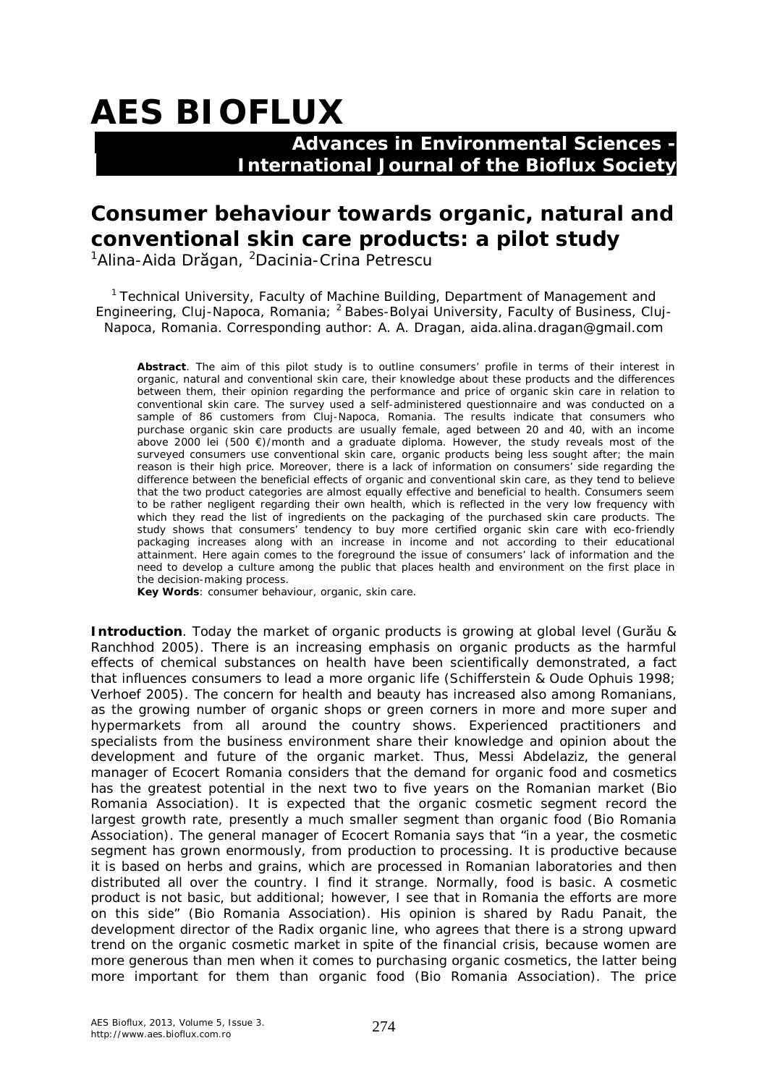# **AES BIOFLUX**

### **Advances in Environmental Sciences - International Journal of the Bioflux Society**

## **Consumer behaviour towards organic, natural and conventional skin care products: a pilot study**

<sup>1</sup>Alina-Aida Dr**ă**gan, <sup>2</sup>Dacinia-Crina Petrescu

<sup>1</sup> Technical University, Faculty of Machine Building, Department of Management and Engineering, Cluj-Napoca, Romania; <sup>2</sup> Babes-Bolyai University, Faculty of Business, Cluj-Napoca, Romania. Corresponding author: A. A. Dragan, aida.alina.dragan@gmail.com

**Abstract**. The aim of this pilot study is to outline consumers' profile in terms of their interest in organic, natural and conventional skin care, their knowledge about these products and the differences between them, their opinion regarding the performance and price of organic skin care in relation to conventional skin care. The survey used a self-administered questionnaire and was conducted on a sample of 86 customers from Cluj-Napoca, Romania. The results indicate that consumers who purchase organic skin care products are usually female, aged between 20 and 40, with an income above 2000 lei (500 €)/month and a graduate diploma. However, the study reveals most of the surveyed consumers use conventional skin care, organic products being less sought after; the main reason is their high price. Moreover, there is a lack of information on consumers' side regarding the difference between the beneficial effects of organic and conventional skin care, as they tend to believe that the two product categories are almost equally effective and beneficial to health. Consumers seem to be rather negligent regarding their own health, which is reflected in the very low frequency with which they read the list of ingredients on the packaging of the purchased skin care products. The study shows that consumers' tendency to buy more certified organic skin care with eco-friendly packaging increases along with an increase in income and not according to their educational attainment. Here again comes to the foreground the issue of consumers' lack of information and the need to develop a culture among the public that places health and environment on the first place in the decision-making process.

**Key Words**: consumer behaviour, organic, skin care.

**Introduction**. Today the market of organic products is growing at global level (Gurău & Ranchhod 2005). There is an increasing emphasis on organic products as the harmful effects of chemical substances on health have been scientifically demonstrated, a fact that influences consumers to lead a more organic life (Schifferstein & Oude Ophuis 1998; Verhoef 2005). The concern for health and beauty has increased also among Romanians, as the growing number of organic shops or green corners in more and more super and hypermarkets from all around the country shows. Experienced practitioners and specialists from the business environment share their knowledge and opinion about the development and future of the organic market. Thus, Messi Abdelaziz, the general manager of Ecocert Romania considers that the demand for organic food and cosmetics has the greatest potential in the next two to five years on the Romanian market (Bio Romania Association). It is expected that the organic cosmetic segment record the largest growth rate, presently a much smaller segment than organic food (Bio Romania Association). The general manager of Ecocert Romania says that "in a year, the cosmetic segment has grown enormously, from production to processing. It is productive because it is based on herbs and grains, which are processed in Romanian laboratories and then distributed all over the country. I find it strange. Normally, food is basic. A cosmetic product is not basic, but additional; however, I see that in Romania the efforts are more on this side" (Bio Romania Association). His opinion is shared by Radu Panait, the development director of the Radix organic line, who agrees that there is a strong upward trend on the organic cosmetic market in spite of the financial crisis, because women are more generous than men when it comes to purchasing organic cosmetics, the latter being more important for them than organic food (Bio Romania Association). The price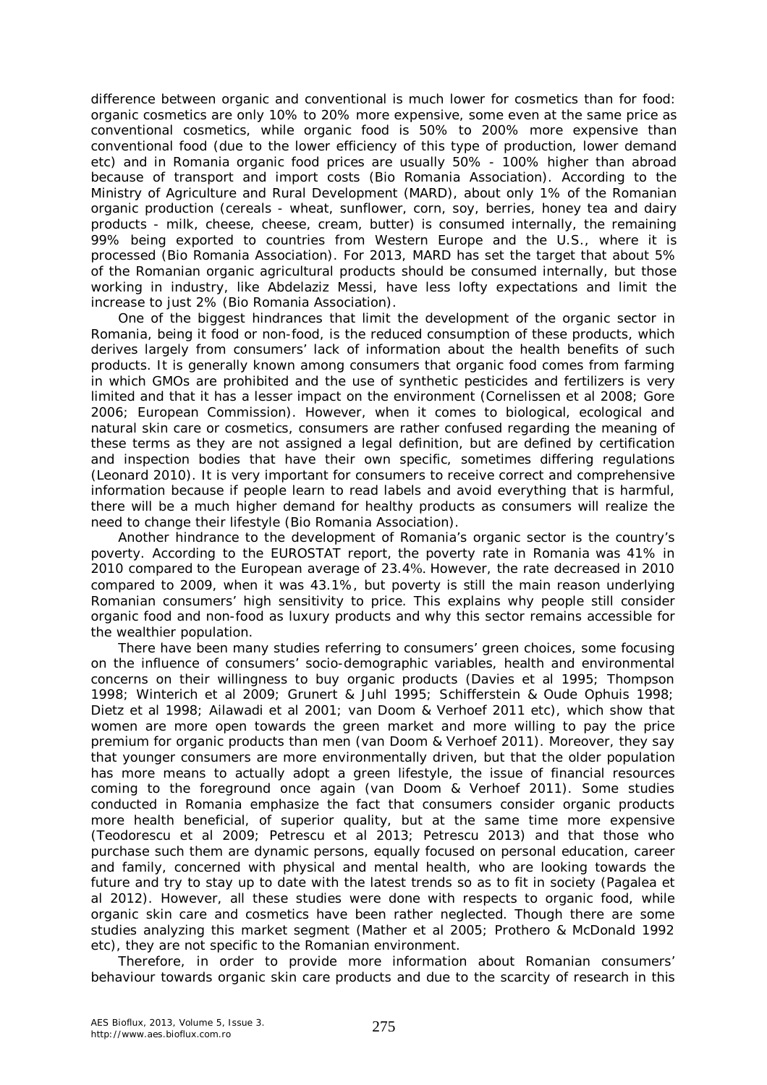difference between organic and conventional is much lower for cosmetics than for food: organic cosmetics are only 10% to 20% more expensive, some even at the same price as conventional cosmetics, while organic food is 50% to 200% more expensive than conventional food (due to the lower efficiency of this type of production, lower demand etc) and in Romania organic food prices are usually 50% - 100% higher than abroad because of transport and import costs (Bio Romania Association). According to the Ministry of Agriculture and Rural Development (MARD), about only 1% of the Romanian organic production (cereals - wheat, sunflower, corn, soy, berries, honey tea and dairy products - milk, cheese, cheese, cream, butter) is consumed internally, the remaining 99% being exported to countries from Western Europe and the U.S., where it is processed (Bio Romania Association). For 2013, MARD has set the target that about 5% of the Romanian organic agricultural products should be consumed internally, but those working in industry, like Abdelaziz Messi, have less lofty expectations and limit the increase to just 2% (Bio Romania Association).

One of the biggest hindrances that limit the development of the organic sector in Romania, being it food or non-food, is the reduced consumption of these products, which derives largely from consumers' lack of information about the health benefits of such products. It is generally known among consumers that organic food comes from farming in which GMOs are prohibited and the use of synthetic pesticides and fertilizers is very limited and that it has a lesser impact on the environment (Cornelissen et al 2008; Gore 2006; European Commission). However, when it comes to biological, ecological and natural skin care or cosmetics, consumers are rather confused regarding the meaning of these terms as they are not assigned a legal definition, but are defined by certification and inspection bodies that have their own specific, sometimes differing regulations (Leonard 2010). It is very important for consumers to receive correct and comprehensive information because if people learn to read labels and avoid everything that is harmful, there will be a much higher demand for healthy products as consumers will realize the need to change their lifestyle (Bio Romania Association).

Another hindrance to the development of Romania's organic sector is the country's poverty. According to the EUROSTAT report, the poverty rate in Romania was 41% in 2010 compared to the European average of 23.4%. However, the rate decreased in 2010 compared to 2009, when it was 43.1%, but poverty is still the main reason underlying Romanian consumers' high sensitivity to price. This explains why people still consider organic food and non-food as luxury products and why this sector remains accessible for the wealthier population.

There have been many studies referring to consumers' green choices, some focusing on the influence of consumers' socio-demographic variables, health and environmental concerns on their willingness to buy organic products (Davies et al 1995; Thompson 1998; Winterich et al 2009; Grunert & Juhl 1995; Schifferstein & Oude Ophuis 1998; Dietz et al 1998; Ailawadi et al 2001; van Doom & Verhoef 2011 etc), which show that women are more open towards the green market and more willing to pay the price premium for organic products than men (van Doom & Verhoef 2011). Moreover, they say that younger consumers are more environmentally driven, but that the older population has more means to actually adopt a green lifestyle, the issue of financial resources coming to the foreground once again (van Doom & Verhoef 2011). Some studies conducted in Romania emphasize the fact that consumers consider organic products more health beneficial, of superior quality, but at the same time more expensive (Teodorescu et al 2009; Petrescu et al 2013; Petrescu 2013) and that those who purchase such them are dynamic persons, equally focused on personal education, career and family, concerned with physical and mental health, who are looking towards the future and try to stay up to date with the latest trends so as to fit in society (Pagalea et al 2012). However, all these studies were done with respects to organic food, while organic skin care and cosmetics have been rather neglected. Though there are some studies analyzing this market segment (Mather et al 2005; Prothero & McDonald 1992 etc), they are not specific to the Romanian environment.

Therefore, in order to provide more information about Romanian consumers' behaviour towards organic skin care products and due to the scarcity of research in this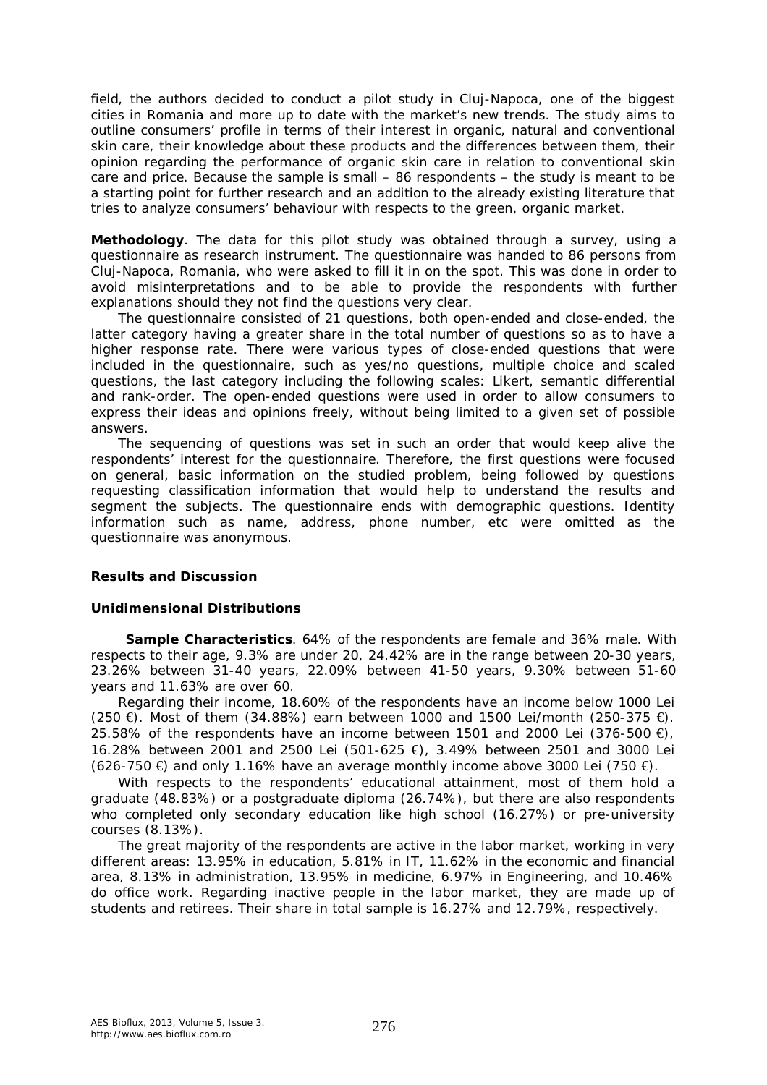field, the authors decided to conduct a pilot study in Cluj-Napoca, one of the biggest cities in Romania and more up to date with the market's new trends. The study aims to outline consumers' profile in terms of their interest in organic, natural and conventional skin care, their knowledge about these products and the differences between them, their opinion regarding the performance of organic skin care in relation to conventional skin care and price. Because the sample is small – 86 respondents – the study is meant to be a starting point for further research and an addition to the already existing literature that tries to analyze consumers' behaviour with respects to the green, organic market.

**Methodology**. The data for this pilot study was obtained through a survey, using a questionnaire as research instrument. The questionnaire was handed to 86 persons from Cluj-Napoca, Romania, who were asked to fill it in on the spot. This was done in order to avoid misinterpretations and to be able to provide the respondents with further explanations should they not find the questions very clear.

The questionnaire consisted of 21 questions, both open-ended and close-ended, the latter category having a greater share in the total number of questions so as to have a higher response rate. There were various types of close-ended questions that were included in the questionnaire, such as yes/no questions, multiple choice and scaled questions, the last category including the following scales: Likert, semantic differential and rank-order. The open-ended questions were used in order to allow consumers to express their ideas and opinions freely, without being limited to a given set of possible answers.

The sequencing of questions was set in such an order that would keep alive the respondents' interest for the questionnaire. Therefore, the first questions were focused on general, basic information on the studied problem, being followed by questions requesting classification information that would help to understand the results and segment the subjects. The questionnaire ends with demographic questions. Identity information such as name, address, phone number, etc were omitted as the questionnaire was anonymous.

#### **Results and Discussion**

#### *Unidimensional Distributions*

*Sample Characteristics.* 64% of the respondents are female and 36% male. With respects to their age, 9.3% are under 20, 24.42% are in the range between 20-30 years, 23.26% between 31-40 years, 22.09% between 41-50 years, 9.30% between 51-60 years and 11.63% are over 60.

Regarding their income, 18.60% of the respondents have an income below 1000 Lei (250  $\bigoplus$ . Most of them (34.88%) earn between 1000 and 1500 Lei/month (250-375  $\bigoplus$ . 25.58% of the respondents have an income between 1501 and 2000 Lei (376-500  $\bigoplus$ ), 16.28% between 2001 and 2500 Lei (501-625 €), 3.49% between 2501 and 3000 Lei (626-750  $\bigoplus$  and only 1.16% have an average monthly income above 3000 Lei (750  $\bigoplus$ .

With respects to the respondents' educational attainment, most of them hold a graduate (48.83%) or a postgraduate diploma (26.74%), but there are also respondents who completed only secondary education like high school (16.27%) or pre-university courses (8.13%).

The great majority of the respondents are active in the labor market, working in very different areas: 13.95% in education, 5.81% in IT, 11.62% in the economic and financial area, 8.13% in administration, 13.95% in medicine, 6.97% in Engineering, and 10.46% do office work. Regarding inactive people in the labor market, they are made up of students and retirees. Their share in total sample is 16.27% and 12.79%, respectively.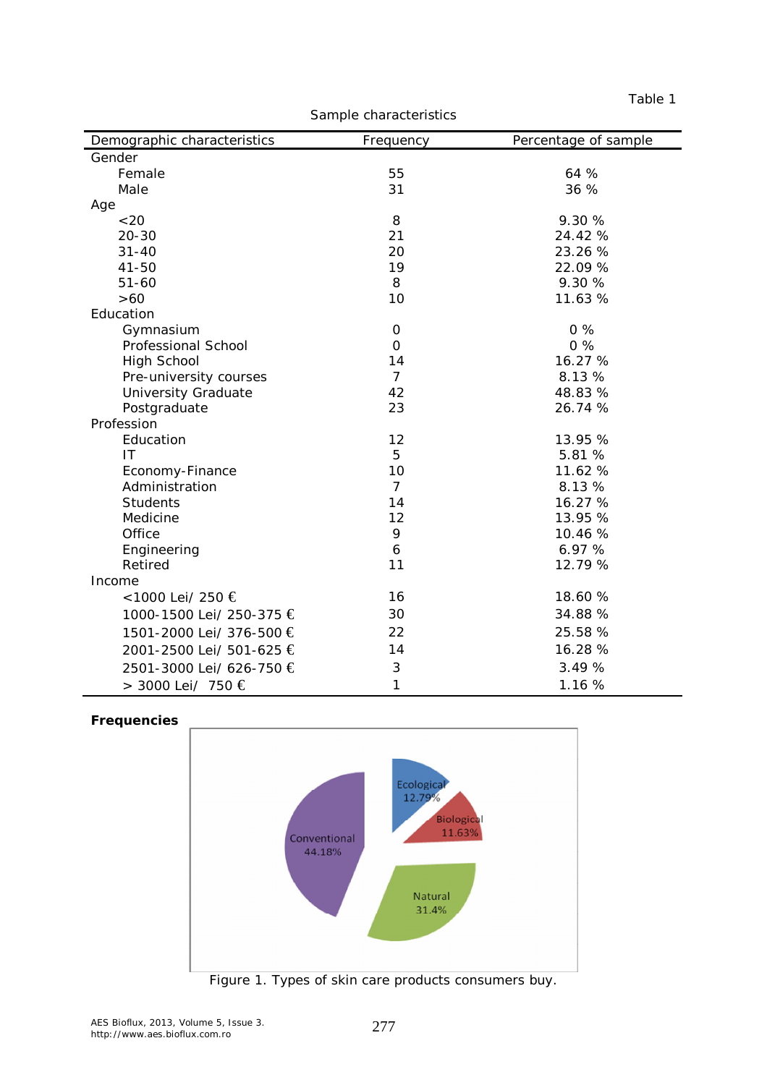|  |  | ani |  |  |
|--|--|-----|--|--|
|--|--|-----|--|--|

Sample characteristics

| Demographic characteristics                                                                                                                                                                                                                                      | Frequency                                                                                      | Percentage of sample                                                                                                                                  |
|------------------------------------------------------------------------------------------------------------------------------------------------------------------------------------------------------------------------------------------------------------------|------------------------------------------------------------------------------------------------|-------------------------------------------------------------------------------------------------------------------------------------------------------|
| Gender                                                                                                                                                                                                                                                           |                                                                                                |                                                                                                                                                       |
| Female                                                                                                                                                                                                                                                           | 55                                                                                             | 64 %                                                                                                                                                  |
| Male                                                                                                                                                                                                                                                             | 31                                                                                             | 36 %                                                                                                                                                  |
| Age                                                                                                                                                                                                                                                              |                                                                                                |                                                                                                                                                       |
| < 20                                                                                                                                                                                                                                                             | 8                                                                                              | 9.30 %                                                                                                                                                |
| $20 - 30$                                                                                                                                                                                                                                                        | 21                                                                                             | 24.42 %                                                                                                                                               |
| $31 - 40$                                                                                                                                                                                                                                                        | 20                                                                                             | 23.26 %                                                                                                                                               |
| $41 - 50$                                                                                                                                                                                                                                                        | 19                                                                                             | 22.09 %                                                                                                                                               |
| $51 - 60$                                                                                                                                                                                                                                                        | 8                                                                                              | 9.30 %                                                                                                                                                |
| >60                                                                                                                                                                                                                                                              | 10                                                                                             | 11.63 %                                                                                                                                               |
| Education                                                                                                                                                                                                                                                        |                                                                                                |                                                                                                                                                       |
| Gymnasium                                                                                                                                                                                                                                                        | $\mathbf 0$                                                                                    |                                                                                                                                                       |
|                                                                                                                                                                                                                                                                  | 0                                                                                              | 0%                                                                                                                                                    |
| High School                                                                                                                                                                                                                                                      | 14                                                                                             |                                                                                                                                                       |
| Pre-university courses                                                                                                                                                                                                                                           |                                                                                                |                                                                                                                                                       |
| <b>University Graduate</b>                                                                                                                                                                                                                                       |                                                                                                | 48.83 %                                                                                                                                               |
|                                                                                                                                                                                                                                                                  |                                                                                                |                                                                                                                                                       |
|                                                                                                                                                                                                                                                                  |                                                                                                |                                                                                                                                                       |
|                                                                                                                                                                                                                                                                  |                                                                                                |                                                                                                                                                       |
|                                                                                                                                                                                                                                                                  |                                                                                                |                                                                                                                                                       |
|                                                                                                                                                                                                                                                                  |                                                                                                |                                                                                                                                                       |
|                                                                                                                                                                                                                                                                  |                                                                                                |                                                                                                                                                       |
|                                                                                                                                                                                                                                                                  | 14                                                                                             |                                                                                                                                                       |
|                                                                                                                                                                                                                                                                  |                                                                                                |                                                                                                                                                       |
| Office                                                                                                                                                                                                                                                           |                                                                                                | 10.46 %                                                                                                                                               |
|                                                                                                                                                                                                                                                                  | 6                                                                                              |                                                                                                                                                       |
| Retired                                                                                                                                                                                                                                                          |                                                                                                | 12.79 %                                                                                                                                               |
| Income                                                                                                                                                                                                                                                           |                                                                                                |                                                                                                                                                       |
| <1000 Lei/ 250 €                                                                                                                                                                                                                                                 | 16                                                                                             |                                                                                                                                                       |
| 1000-1500 Lei/ 250-375 €                                                                                                                                                                                                                                         | 30                                                                                             | 34.88 %                                                                                                                                               |
|                                                                                                                                                                                                                                                                  | 22                                                                                             | 25.58 %                                                                                                                                               |
|                                                                                                                                                                                                                                                                  |                                                                                                |                                                                                                                                                       |
|                                                                                                                                                                                                                                                                  |                                                                                                |                                                                                                                                                       |
|                                                                                                                                                                                                                                                                  |                                                                                                |                                                                                                                                                       |
| Professional School<br>Postgraduate<br>Profession<br>Education<br>IT<br>Economy-Finance<br>Administration<br><b>Students</b><br>Medicine<br>Engineering<br>1501-2000 Lei/ 376-500 €<br>2001-2500 Lei/ 501-625 €<br>2501-3000 Lei/ 626-750 €<br>> 3000 Lei/ 750 € | $\overline{7}$<br>42<br>23<br>12<br>5<br>10<br>$\overline{7}$<br>12<br>9<br>11<br>14<br>3<br>1 | 0%<br>16.27 %<br>8.13 %<br>26.74 %<br>13.95 %<br>5.81 %<br>11.62 %<br>8.13 %<br>16.27 %<br>13.95 %<br>6.97%<br>18.60 %<br>16.28 %<br>3.49 %<br>1.16 % |

#### *Frequencies*



Figure 1. Types of skin care products consumers buy.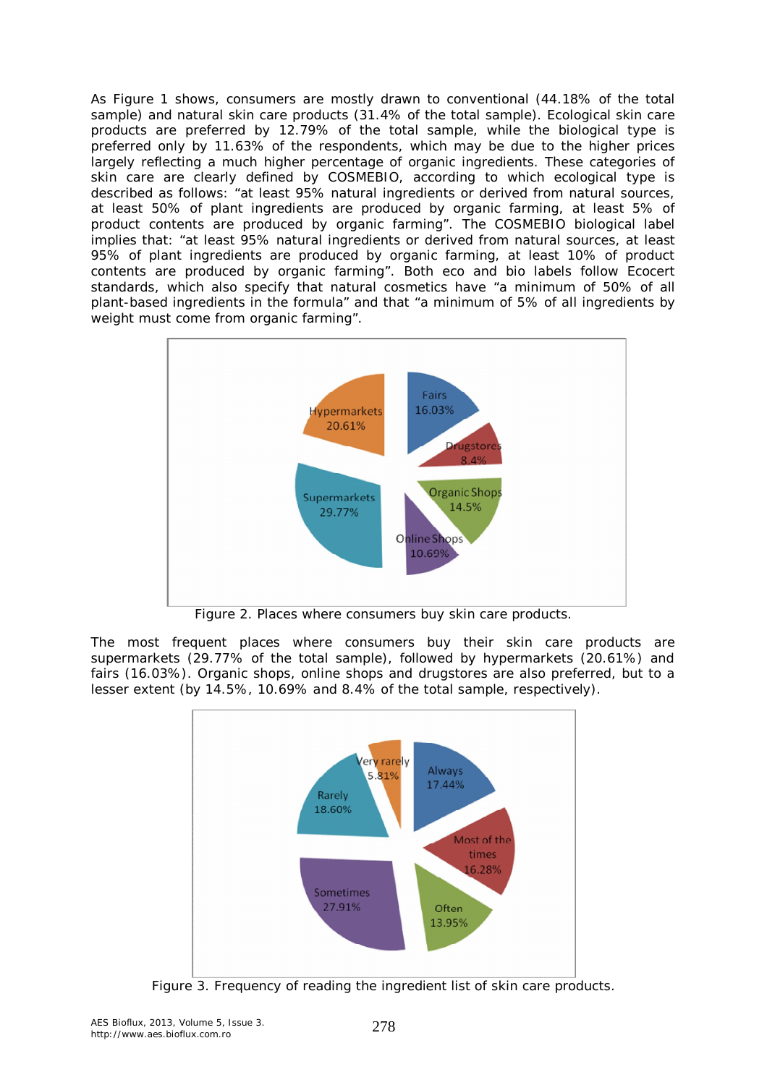As Figure 1 shows, consumers are mostly drawn to conventional (44.18% of the total sample) and natural skin care products (31.4% of the total sample). Ecological skin care products are preferred by 12.79% of the total sample, while the biological type is preferred only by 11.63% of the respondents, which may be due to the higher prices largely reflecting a much higher percentage of organic ingredients. These categories of skin care are clearly defined by COSMEBIO, according to which ecological type is described as follows: "at least 95% natural ingredients or derived from natural sources, at least 50% of plant ingredients are produced by organic farming, at least 5% of product contents are produced by organic farming". The COSMEBIO biological label implies that: "at least 95% natural ingredients or derived from natural sources, at least 95% of plant ingredients are produced by organic farming, at least 10% of product contents are produced by organic farming". Both eco and bio labels follow Ecocert standards, which also specify that natural cosmetics have "a minimum of 50% of all plant-based ingredients in the formula" and that "a minimum of 5% of all ingredients by weight must come from organic farming".



Figure 2. Places where consumers buy skin care products.

The most frequent places where consumers buy their skin care products are supermarkets (29.77% of the total sample), followed by hypermarkets (20.61%) and fairs (16.03%). Organic shops, online shops and drugstores are also preferred, but to a lesser extent (by 14.5%, 10.69% and 8.4% of the total sample, respectively).



Figure 3. Frequency of reading the ingredient list of skin care products.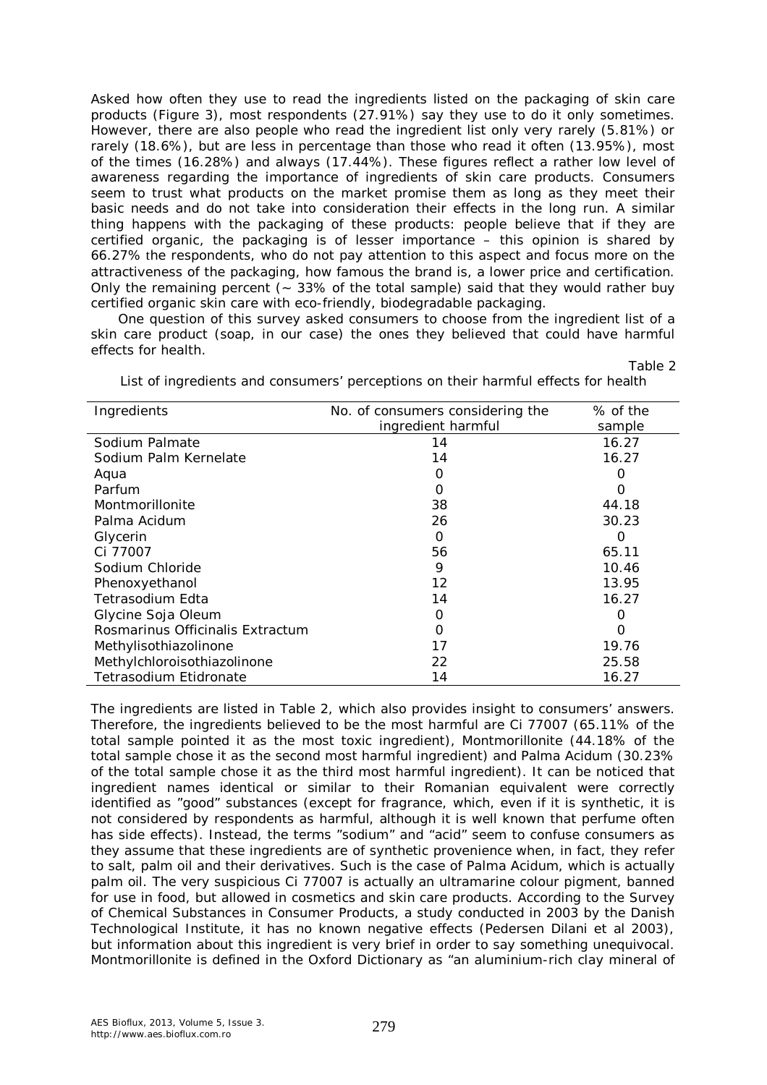Asked how often they use to read the ingredients listed on the packaging of skin care products (Figure 3), most respondents (27.91%) say they use to do it only sometimes. However, there are also people who read the ingredient list only very rarely (5.81%) or rarely (18.6%), but are less in percentage than those who read it often (13.95%), most of the times (16.28%) and always (17.44%). These figures reflect a rather low level of awareness regarding the importance of ingredients of skin care products. Consumers seem to trust what products on the market promise them as long as they meet their basic needs and do not take into consideration their effects in the long run. A similar thing happens with the packaging of these products: people believe that if they are certified organic, the packaging is of lesser importance – this opinion is shared by 66.27% the respondents, who do not pay attention to this aspect and focus more on the attractiveness of the packaging, how famous the brand is, a lower price and certification. Only the remaining percent  $(-33\%$  of the total sample) said that they would rather buy certified organic skin care with eco-friendly, biodegradable packaging.

One question of this survey asked consumers to choose from the ingredient list of a skin care product (soap, in our case) the ones they believed that could have harmful effects for health.

Table 2

| Ingredients                      | No. of consumers considering the | % of the |
|----------------------------------|----------------------------------|----------|
|                                  | ingredient harmful               | sample   |
| Sodium Palmate                   | 14                               | 16.27    |
| Sodium Palm Kernelate            | 14                               | 16.27    |
| Aqua                             | O                                | O        |
| Parfum                           | O                                | O        |
| Montmorillonite                  | 38                               | 44.18    |
| Palma Acidum                     | 26                               | 30.23    |
| Glycerin                         | O                                | O        |
| Ci 77007                         | 56                               | 65.11    |
| Sodium Chloride                  | 9                                | 10.46    |
| Phenoxyethanol                   | 12                               | 13.95    |
| Tetrasodium Edta                 | 14                               | 16.27    |
| Glycine Soja Oleum               | O                                | O        |
| Rosmarinus Officinalis Extractum | 0                                | O        |
| Methylisothiazolinone            | 17                               | 19.76    |
| Methylchloroisothiazolinone      | 22                               | 25.58    |
| Tetrasodium Etidronate           | 14                               | 16.27    |

List of ingredients and consumers' perceptions on their harmful effects for health

The ingredients are listed in Table 2, which also provides insight to consumers' answers. Therefore, the ingredients believed to be the most harmful are *Ci 77007* (65.11% of the total sample pointed it as the most toxic ingredient), *Montmorillonite* (44.18% of the total sample chose it as the second most harmful ingredient) and *Palma Acidum* (30.23% of the total sample chose it as the third most harmful ingredient). It can be noticed that ingredient names identical or similar to their Romanian equivalent were correctly identified as "good" substances (except for fragrance, which, even if it is synthetic, it is not considered by respondents as harmful, although it is well known that perfume often has side effects). Instead, the terms "sodium" and "acid" seem to confuse consumers as they assume that these ingredients are of synthetic provenience when, in fact, they refer to salt, palm oil and their derivatives. Such is the case of Palma Acidum, which is actually palm oil. The very suspicious Ci 77007 is actually an ultramarine colour pigment, banned for use in food, but allowed in cosmetics and skin care products. According to the *Survey of Chemical Substances in Consumer Products*, a study conducted in 2003 by the Danish Technological Institute, it has no known negative effects (Pedersen Dilani et al 2003), but information about this ingredient is very brief in order to say something unequivocal. *Montmorillonite* is defined in the Oxford Dictionary as "an aluminium-rich clay mineral of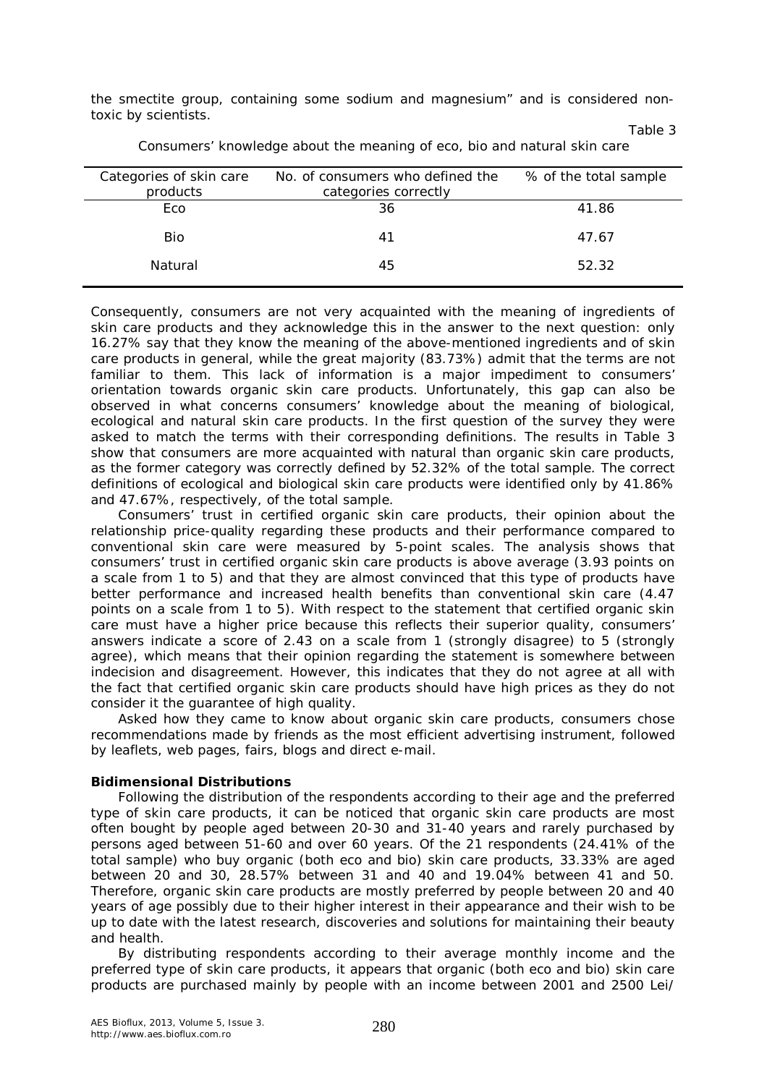the smectite group, containing some sodium and magnesium" and is considered nontoxic by scientists.

| No. of consumers who defined the<br>categories correctly | % of the total sample |
|----------------------------------------------------------|-----------------------|
| 36                                                       | 41.86                 |
| 41                                                       | 47.67                 |
| 45                                                       | 52.32                 |
|                                                          |                       |

Consumers' knowledge about the meaning of eco, bio and natural skin care

Table 3

Consequently, consumers are not very acquainted with the meaning of ingredients of skin care products and they acknowledge this in the answer to the next question: only 16.27% say that they know the meaning of the above-mentioned ingredients and of skin care products in general, while the great majority (83.73%) admit that the terms are not familiar to them. This lack of information is a major impediment to consumers' orientation towards organic skin care products. Unfortunately, this gap can also be observed in what concerns consumers' knowledge about the meaning of biological, ecological and natural skin care products. In the first question of the survey they were asked to match the terms with their corresponding definitions. The results in Table 3 show that consumers are more acquainted with natural than organic skin care products, as the former category was correctly defined by 52.32% of the total sample. The correct definitions of ecological and biological skin care products were identified only by 41.86% and 47.67%, respectively, of the total sample.

Consumers' trust in certified organic skin care products, their opinion about the relationship price-quality regarding these products and their performance compared to conventional skin care were measured by 5-point scales. The analysis shows that consumers' trust in certified organic skin care products is above average (3.93 points on a scale from 1 to 5) and that they are almost convinced that this type of products have better performance and increased health benefits than conventional skin care (4.47 points on a scale from 1 to 5). With respect to the statement that *certified organic skin care must have a higher price because this reflects their superior quality*, consumers' answers indicate a score of 2.43 on a scale from 1 (strongly disagree) to 5 (strongly agree), which means that their opinion regarding the statement is somewhere between indecision and disagreement. However, this indicates that they do not agree at all with the fact that certified organic skin care products should have high prices as they do not consider it the guarantee of high quality.

Asked how they came to know about organic skin care products, consumers chose recommendations made by friends as the most efficient advertising instrument, followed by leaflets, web pages, fairs, blogs and direct e-mail.

#### *Bidimensional Distributions*

Following the distribution of the respondents according to their age and the preferred type of skin care products, it can be noticed that organic skin care products are most often bought by people aged between 20-30 and 31-40 years and rarely purchased by persons aged between 51-60 and over 60 years. Of the 21 respondents (24.41% of the total sample) who buy organic (both eco and bio) skin care products, 33.33% are aged between 20 and 30, 28.57% between 31 and 40 and 19.04% between 41 and 50. Therefore, organic skin care products are mostly preferred by people between 20 and 40 years of age possibly due to their higher interest in their appearance and their wish to be up to date with the latest research, discoveries and solutions for maintaining their beauty and health.

By distributing respondents according to their average monthly income and the preferred type of skin care products, it appears that organic (both eco and bio) skin care products are purchased mainly by people with an income between 2001 and 2500 Lei/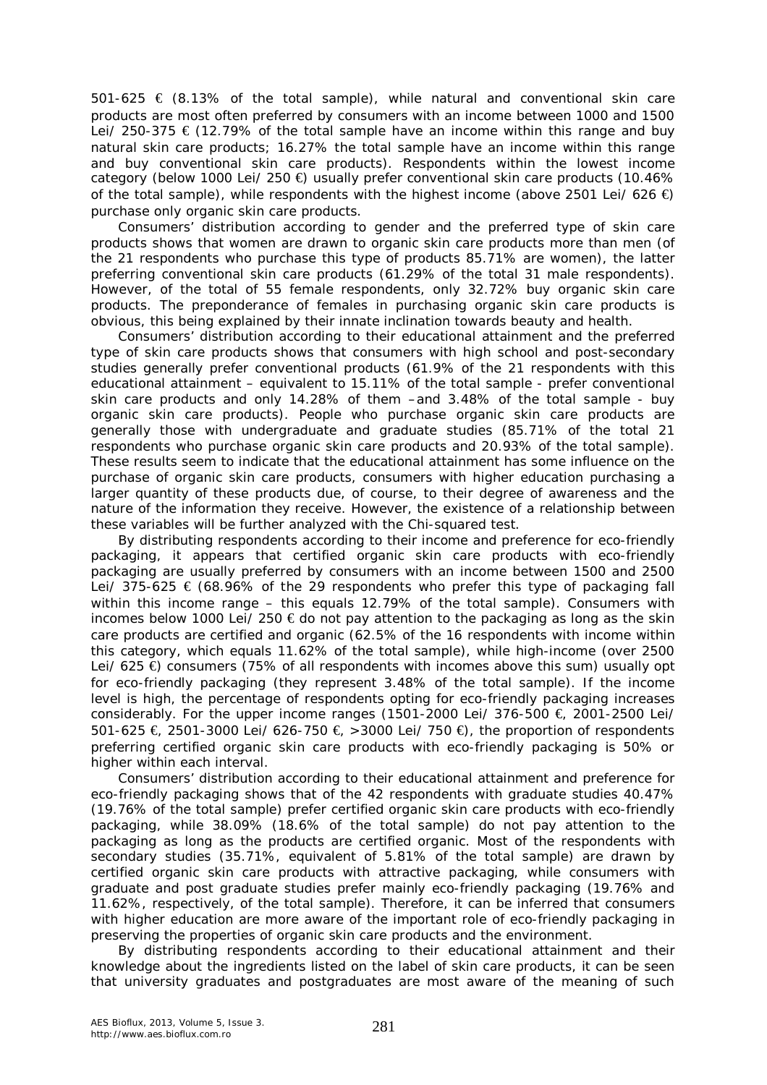501-625  $\epsilon$  (8.13% of the total sample), while natural and conventional skin care products are most often preferred by consumers with an income between 1000 and 1500 Lei/ 250-375  $\epsilon$  (12.79% of the total sample have an income within this range and buy natural skin care products; 16.27% the total sample have an income within this range and buy conventional skin care products). Respondents within the lowest income category (below 1000 Lei/ 250 €) usually prefer conventional skin care products (10.46% of the total sample), while respondents with the highest income (above 2501 Lei/ 626  $\bigoplus$ purchase only organic skin care products.

Consumers' distribution according to gender and the preferred type of skin care products shows that women are drawn to organic skin care products more than men (of the 21 respondents who purchase this type of products 85.71% are women), the latter preferring conventional skin care products (61.29% of the total 31 male respondents). However, of the total of 55 female respondents, only 32.72% buy organic skin care products. The preponderance of females in purchasing organic skin care products is obvious, this being explained by their innate inclination towards beauty and health.

Consumers' distribution according to their educational attainment and the preferred type of skin care products shows that consumers with high school and post-secondary studies generally prefer conventional products (61.9% of the 21 respondents with this educational attainment – equivalent to 15.11% of the total sample - prefer conventional skin care products and only 14.28% of them –and 3.48% of the total sample - buy organic skin care products). People who purchase organic skin care products are generally those with undergraduate and graduate studies (85.71% of the total 21 respondents who purchase organic skin care products and 20.93% of the total sample). These results seem to indicate that the educational attainment has some influence on the purchase of organic skin care products, consumers with higher education purchasing a larger quantity of these products due, of course, to their degree of awareness and the nature of the information they receive. However, the existence of a relationship between these variables will be further analyzed with the Chi-squared test.

By distributing respondents according to their income and preference for eco-friendly packaging, it appears that certified organic skin care products with eco-friendly packaging are usually preferred by consumers with an income between 1500 and 2500 Lei/ 375-625  $\epsilon$  (68.96% of the 29 respondents who prefer this type of packaging fall within this income range – this equals 12.79% of the total sample). Consumers with incomes below 1000 Lei/ 250  $\epsilon$  do not pay attention to the packaging as long as the skin care products are certified and organic (62.5% of the 16 respondents with income within this category, which equals 11.62% of the total sample), while high-income (over 2500 Lei/ 625 €) consumers (75% of all respondents with incomes above this sum) usually opt for eco-friendly packaging (they represent 3.48% of the total sample). If the income level is high, the percentage of respondents opting for eco-friendly packaging increases considerably. For the upper income ranges (1501-2000 Lei/ 376-500  $\in$  2001-2500 Lei/ 501-625 €, 2501-3000 Lei/ 626-750 €, >3000 Lei/ 750  $\oplus$ , the proportion of respondents preferring certified organic skin care products with eco-friendly packaging is 50% or higher within each interval.

Consumers' distribution according to their educational attainment and preference for eco-friendly packaging shows that of the 42 respondents with graduate studies 40.47% (19.76% of the total sample) prefer certified organic skin care products with eco-friendly packaging, while 38.09% (18.6% of the total sample) do not pay attention to the packaging as long as the products are certified organic. Most of the respondents with secondary studies (35.71%, equivalent of 5.81% of the total sample) are drawn by certified organic skin care products with attractive packaging, while consumers with graduate and post graduate studies prefer mainly eco-friendly packaging (19.76% and 11.62%, respectively, of the total sample). Therefore, it can be inferred that consumers with higher education are more aware of the important role of eco-friendly packaging in preserving the properties of organic skin care products and the environment.

By distributing respondents according to their educational attainment and their knowledge about the ingredients listed on the label of skin care products, it can be seen that university graduates and postgraduates are most aware of the meaning of such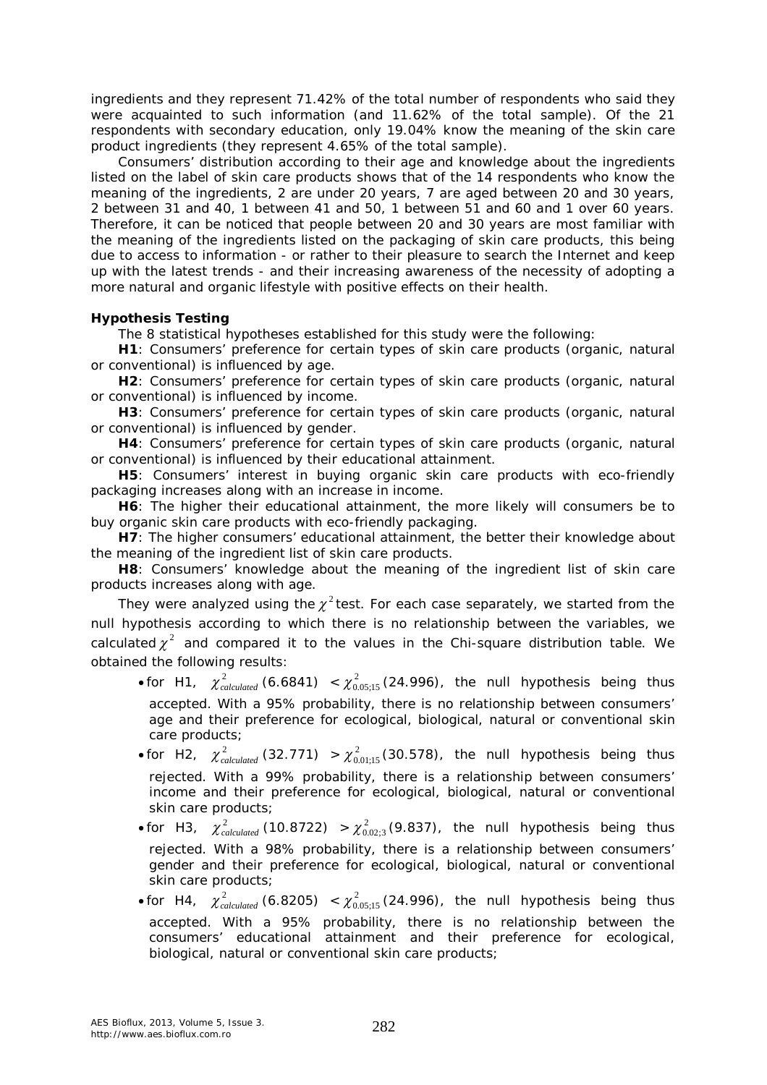ingredients and they represent 71.42% of the total number of respondents who said they were acquainted to such information (and 11.62% of the total sample). Of the 21 respondents with secondary education, only 19.04% know the meaning of the skin care product ingredients (they represent 4.65% of the total sample).

Consumers' distribution according to their age and knowledge about the ingredients listed on the label of skin care products shows that of the 14 respondents who know the meaning of the ingredients, 2 are under 20 years, 7 are aged between 20 and 30 years, 2 between 31 and 40, 1 between 41 and 50, 1 between 51 and 60 and 1 over 60 years. Therefore, it can be noticed that people between 20 and 30 years are most familiar with the meaning of the ingredients listed on the packaging of skin care products, this being due to access to information - or rather to their pleasure to search the Internet and keep up with the latest trends - and their increasing awareness of the necessity of adopting a more natural and organic lifestyle with positive effects on their health.

#### *Hypothesis Testing*

The 8 statistical hypotheses established for this study were the following:

**H1**: Consumers' preference for certain types of skin care products (organic, natural or conventional) is influenced by age.

**H2**: Consumers' preference for certain types of skin care products (organic, natural or conventional) is influenced by income.

**H3**: Consumers' preference for certain types of skin care products (organic, natural or conventional) is influenced by gender.

**H4**: Consumers' preference for certain types of skin care products (organic, natural or conventional) is influenced by their educational attainment.

**H5**: Consumers' interest in buying organic skin care products with eco-friendly packaging increases along with an increase in income.

**H6**: The higher their educational attainment, the more likely will consumers be to buy organic skin care products with eco-friendly packaging.

**H7**: The higher consumers' educational attainment, the better their knowledge about the meaning of the ingredient list of skin care products.

**H8**: Consumers' knowledge about the meaning of the ingredient list of skin care products increases along with age.

They were analyzed using the  $\chi^2$ test. For each case separately, we started from the null hypothesis according to which there is no relationship between the variables, we calculated  $\chi^2$  and compared it to the values in the Chi-square distribution table. We obtained the following results:

- for H1,  $\chi^2_{calculated}$  (6.6841)  $\langle \chi^2_{0.05;15}$  (24.996), the null hypothesis being thus accepted. With a 95% probability, there is no relationship between consumers' age and their preference for ecological, biological, natural or conventional skin care products;
- for H2,  $\chi^2_{calculated}$  (32.771)  $> \chi^2_{0.01;15}$  (30.578), the null hypothesis being thus rejected. With a 99% probability, there is a relationship between consumers' income and their preference for ecological, biological, natural or conventional skin care products;
- for H3,  $\chi^2_{calculated}$  (10.8722)  $> \chi^2_{0.02;3}$  (9.837), the null hypothesis being thus rejected. With a 98% probability, there is a relationship between consumers' gender and their preference for ecological, biological, natural or conventional skin care products;
- for H4,  $\chi^2_{calculated}$  (6.8205)  $\langle \chi^2_{0.05;15}$  (24.996), the null hypothesis being thus accepted. With a 95% probability, there is no relationship between the consumers' educational attainment and their preference for ecological, biological, natural or conventional skin care products;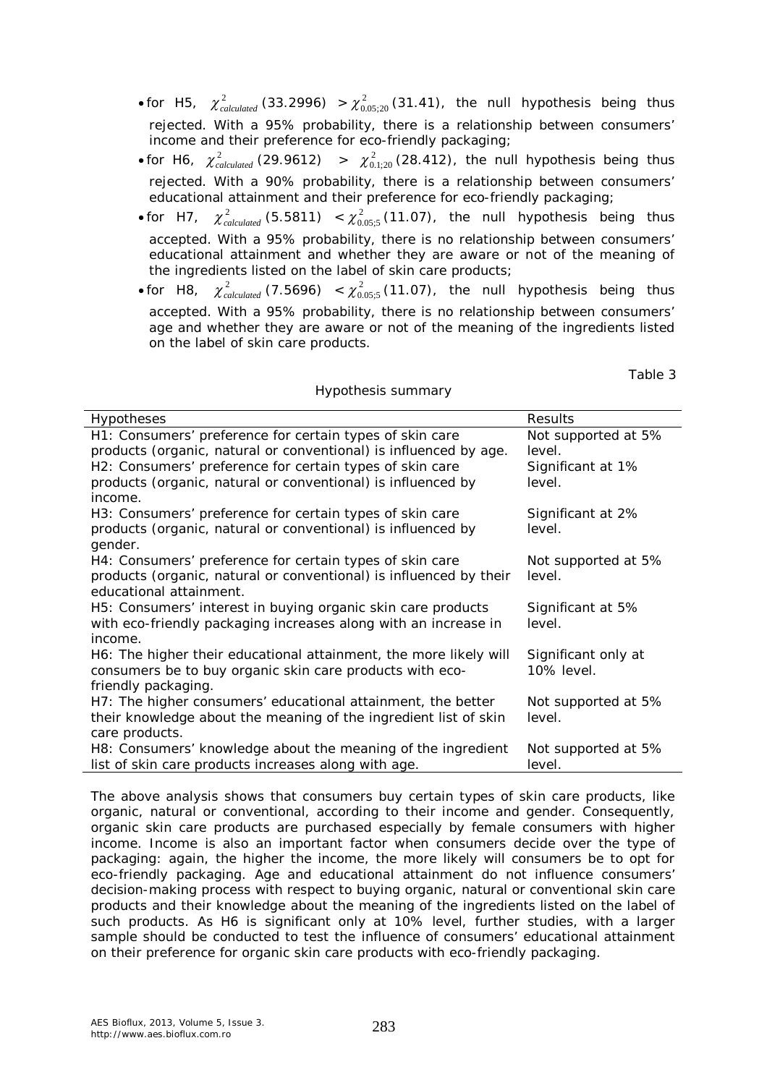- for H5,  $\chi^2_{calculated}$  (33.2996)  $> \chi^2_{0.05;20}$  (31.41), the null hypothesis being thus rejected. With a 95% probability, there is a relationship between consumers' income and their preference for eco-friendly packaging;
- for H6,  $\chi^2_{calculated}$  (29.9612) >  $\chi^2_{0.1;20}$  (28.412), the null hypothesis being thus rejected. With a 90% probability, there is a relationship between consumers' educational attainment and their preference for eco-friendly packaging;
- for H7,  $\chi^2_{calculated}$  (5.5811)  $\langle \chi^2_{0.05;5}(11.07) \rangle$ , the null hypothesis being thus accepted. With a 95% probability, there is no relationship between consumers' educational attainment and whether they are aware or not of the meaning of the ingredients listed on the label of skin care products;
- $\bullet$  for  $H8$ ,  $\chi^2_{calculated}$  (7.5696)  $\ < \chi^2_{0.05;5}$  (11.07), the null hypothesis being thus accepted. With a 95% probability, there is no relationship between consumers' age and whether they are aware or not of the meaning of the ingredients listed on the label of skin care products.

Hypothesis summary

Table 3

| Hypotheses                                                                                                                                                                                                                                                           | Results                                                      |
|----------------------------------------------------------------------------------------------------------------------------------------------------------------------------------------------------------------------------------------------------------------------|--------------------------------------------------------------|
| H1: Consumers' preference for certain types of skin care<br>products (organic, natural or conventional) is influenced by age.<br>H2: Consumers' preference for certain types of skin care<br>products (organic, natural or conventional) is influenced by<br>income. | Not supported at 5%<br>level.<br>Significant at 1%<br>level. |
| H3: Consumers' preference for certain types of skin care<br>products (organic, natural or conventional) is influenced by<br>gender.                                                                                                                                  | Significant at 2%<br>level.                                  |
| H4: Consumers' preference for certain types of skin care<br>products (organic, natural or conventional) is influenced by their<br>educational attainment.                                                                                                            | Not supported at 5%<br>level.                                |
| H5: Consumers' interest in buying organic skin care products<br>with eco-friendly packaging increases along with an increase in<br>income.                                                                                                                           | Significant at 5%<br>level.                                  |
| H6: The higher their educational attainment, the more likely will<br>consumers be to buy organic skin care products with eco-<br>friendly packaging.                                                                                                                 | Significant only at<br>10% level.                            |
| H7: The higher consumers' educational attainment, the better<br>their knowledge about the meaning of the ingredient list of skin<br>care products.                                                                                                                   | Not supported at 5%<br>level.                                |
| H8: Consumers' knowledge about the meaning of the ingredient<br>list of skin care products increases along with age.                                                                                                                                                 | Not supported at 5%<br>level.                                |

The above analysis shows that consumers buy certain types of skin care products, like organic, natural or conventional, according to their income and gender. Consequently, organic skin care products are purchased especially by female consumers with higher income. Income is also an important factor when consumers decide over the type of packaging: again, the higher the income, the more likely will consumers be to opt for eco-friendly packaging. Age and educational attainment do not influence consumers' decision-making process with respect to buying organic, natural or conventional skin care products and their knowledge about the meaning of the ingredients listed on the label of such products. As H6 is significant only at 10% level, further studies, with a larger sample should be conducted to test the influence of consumers' educational attainment on their preference for organic skin care products with eco-friendly packaging.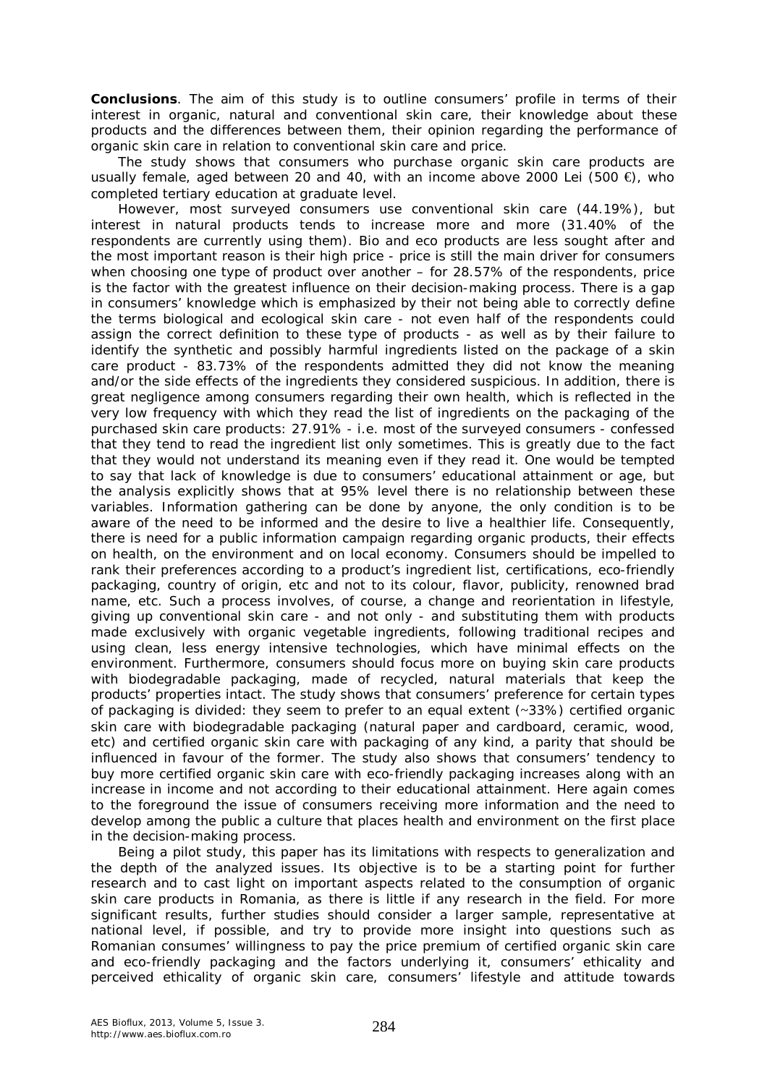**Conclusions**. The aim of this study is to outline consumers' profile in terms of their interest in organic, natural and conventional skin care, their knowledge about these products and the differences between them, their opinion regarding the performance of organic skin care in relation to conventional skin care and price.

The study shows that consumers who purchase organic skin care products are usually female, aged between 20 and 40, with an income above 2000 Lei (500  $\bigoplus$ , who completed tertiary education at graduate level.

However, most surveyed consumers use conventional skin care (44.19%), but interest in natural products tends to increase more and more (31.40% of the respondents are currently using them). Bio and eco products are less sought after and the most important reason is their high price - price is still the main driver for consumers when choosing one type of product over another – for 28.57% of the respondents, price is the factor with the greatest influence on their decision-making process. There is a gap in consumers' knowledge which is emphasized by their not being able to correctly define the terms biological and ecological skin care - not even half of the respondents could assign the correct definition to these type of products - as well as by their failure to identify the synthetic and possibly harmful ingredients listed on the package of a skin care product - 83.73% of the respondents admitted they did not know the meaning and/or the side effects of the ingredients they considered suspicious. In addition, there is great negligence among consumers regarding their own health, which is reflected in the very low frequency with which they read the list of ingredients on the packaging of the purchased skin care products: 27.91% - i.e. most of the surveyed consumers - confessed that they tend to read the ingredient list only sometimes. This is greatly due to the fact that they would not understand its meaning even if they read it. One would be tempted to say that lack of knowledge is due to consumers' educational attainment or age, but the analysis explicitly shows that at 95% level there is no relationship between these variables. Information gathering can be done by anyone, the only condition is to be aware of the need to be informed and the desire to live a healthier life. Consequently, there is need for a public information campaign regarding organic products, their effects on health, on the environment and on local economy. Consumers should be impelled to rank their preferences according to a product's ingredient list, certifications, eco-friendly packaging, country of origin, etc and not to its colour, flavor, publicity, renowned brad name, etc. Such a process involves, of course, a change and reorientation in lifestyle, giving up conventional skin care - and not only - and substituting them with products made exclusively with organic vegetable ingredients, following traditional recipes and using clean, less energy intensive technologies, which have minimal effects on the environment. Furthermore, consumers should focus more on buying skin care products with biodegradable packaging, made of recycled, natural materials that keep the products' properties intact. The study shows that consumers' preference for certain types of packaging is divided: they seem to prefer to an equal extent (~33%) certified organic skin care with biodegradable packaging (natural paper and cardboard, ceramic, wood, etc) and certified organic skin care with packaging of any kind, a parity that should be influenced in favour of the former. The study also shows that consumers' tendency to buy more certified organic skin care with eco-friendly packaging increases along with an increase in income and not according to their educational attainment. Here again comes to the foreground the issue of consumers receiving more information and the need to develop among the public a culture that places health and environment on the first place in the decision-making process.

Being a pilot study, this paper has its limitations with respects to generalization and the depth of the analyzed issues. Its objective is to be a starting point for further research and to cast light on important aspects related to the consumption of organic skin care products in Romania, as there is little if any research in the field. For more significant results, further studies should consider a larger sample, representative at national level, if possible, and try to provide more insight into questions such as Romanian consumes' willingness to pay the price premium of certified organic skin care and eco-friendly packaging and the factors underlying it, consumers' ethicality and perceived ethicality of organic skin care, consumers' lifestyle and attitude towards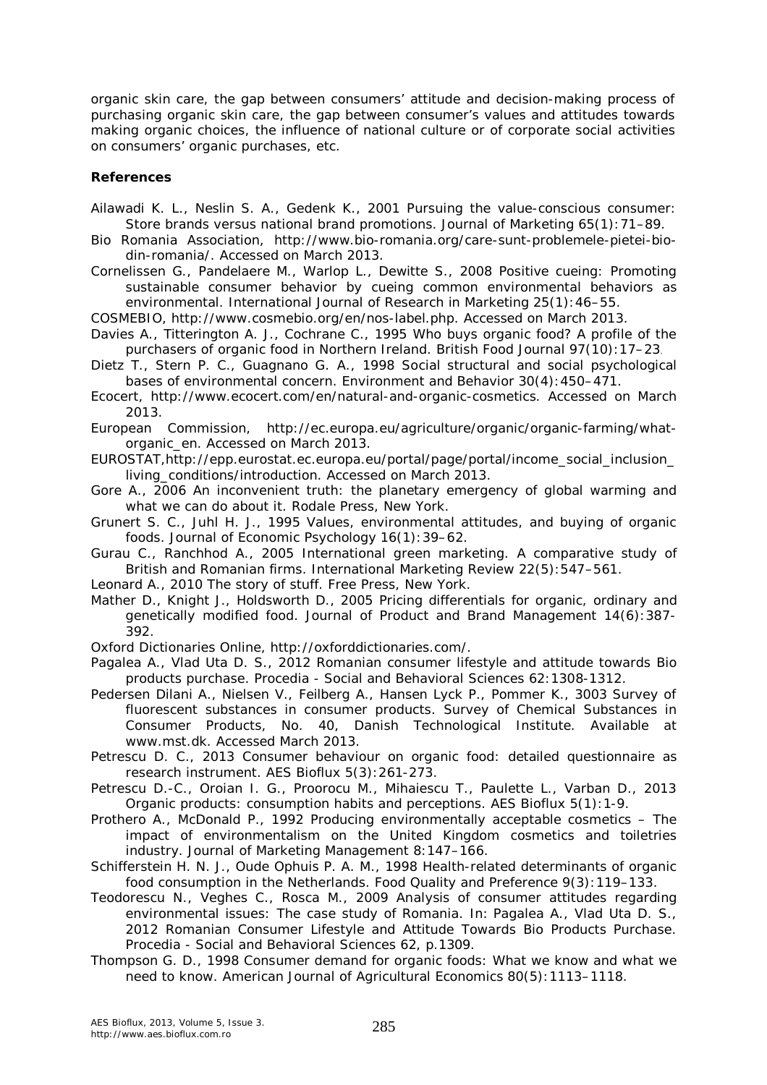organic skin care, the gap between consumers' attitude and decision-making process of purchasing organic skin care, the gap between *c*onsumer's values and attitudes towards making organic choices, the influence of national culture or of corporate social activities on consumers' organic purchases, etc.

#### **References**

- Ailawadi K. L., Neslin S. A., Gedenk K., 2001 Pursuing the value-conscious consumer: Store brands versus national brand promotions. Journal of Marketing 65(1):71–89.
- Bio Romania Association, http://www.bio-romania.org/care-sunt-problemele-pietei-biodin-romania/. Accessed on March 2013.
- Cornelissen G., Pandelaere M., Warlop L., Dewitte S., 2008 Positive cueing: Promoting sustainable consumer behavior by cueing common environmental behaviors as environmental. International Journal of Research in Marketing 25(1):46–55.

COSMEBIO, http://www.cosmebio.org/en/nos-label.php. Accessed on March 2013.

- Davies A., Titterington A. J., Cochrane C., 1995 Who buys organic food? A profile of the purchasers of organic food in Northern Ireland. British Food Journal 97(10):17–23.
- Dietz T., Stern P. C., Guagnano G. A., 1998 Social structural and social psychological bases of environmental concern. Environment and Behavior 30(4):450–471.
- Ecocert, http://www.ecocert.com/en/natural-and-organic-cosmetics. Accessed on March 2013.

European Commission, http://ec.europa.eu/agriculture/organic/organic-farming/whatorganic\_en. Accessed on March 2013.

EUROSTAT,http://epp.eurostat.ec.europa.eu/portal/page/portal/income\_social\_inclusion\_ living\_conditions/introduction. Accessed on March 2013.

Gore A., 2006 An inconvenient truth: the planetary emergency of global warming and what we can do about it. Rodale Press, New York.

Grunert S. C., Juhl H. J., 1995 Values, environmental attitudes, and buying of organic foods. Journal of Economic Psychology 16(1):39–62.

Gurau C., Ranchhod A., 2005 International green marketing. A comparative study of British and Romanian firms. International Marketing Review 22(5):547–561.

Leonard A., 2010 The story of stuff*.* Free Press, New York.

Mather D., Knight J., Holdsworth D., 2005 Pricing differentials for organic, ordinary and genetically modified food. Journal of Product and Brand Management 14(6):387- 392.

Oxford Dictionaries Online, http://oxforddictionaries.com/.

- Pagalea A., Vlad Uta D. S., 2012 Romanian consumer lifestyle and attitude towards Bio products purchase. Procedia - Social and Behavioral Sciences 62:1308-1312.
- Pedersen Dilani A., Nielsen V., Feilberg A., Hansen Lyck P., Pommer K., 3003 Survey of fluorescent substances in consumer products. Survey of Chemical Substances in Consumer Products, No. 40, Danish Technological Institute. Available at www.mst.dk*.* Accessed March 2013.

Petrescu D. C., 2013 Consumer behaviour on organic food: detailed questionnaire as research instrument. AES Bioflux 5(3):261-273.

Petrescu D.-C., Oroian I. G., Proorocu M., Mihaiescu T., Paulette L., Varban D., 2013 Organic products: consumption habits and perceptions. AES Bioflux 5(1):1-9.

- Prothero A., McDonald P., 1992 Producing environmentally acceptable cosmetics The impact of environmentalism on the United Kingdom cosmetics and toiletries industry. Journal of Marketing Management 8:147–166.
- Schifferstein H. N. J., Oude Ophuis P. A. M., 1998 Health-related determinants of organic food consumption in the Netherlands. Food Quality and Preference 9(3):119–133.
- Teodorescu N., Veghes C., Rosca M., 2009 Analysis of consumer attitudes regarding environmental issues: The case study of Romania. In: Pagalea A., Vlad Uta D. S., 2012 Romanian Consumer Lifestyle and Attitude Towards Bio Products Purchase. Procedia - Social and Behavioral Sciences 62, p.1309.
- Thompson G. D., 1998 Consumer demand for organic foods: What we know and what we need to know. American Journal of Agricultural Economics 80(5):1113–1118.